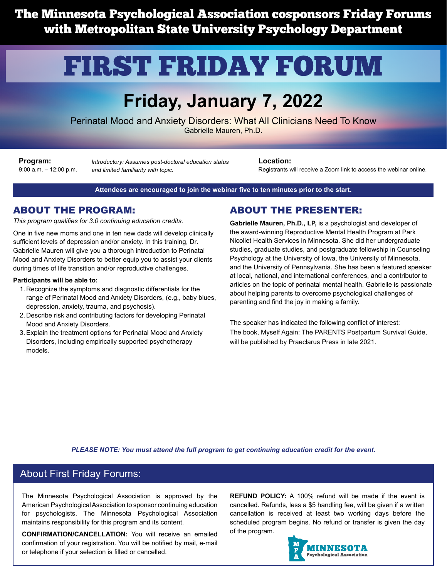The Minnesota Psychological Association cosponsors Friday Forums with Metropolitan State University Psychology Department

# FIRST FRIDAY FORUM

# **Friday, January 7, 2022**

Perinatal Mood and Anxiety Disorders: What All Clinicians Need To Know Gabrielle Mauren, Ph.D.

**Program:** 9:00 a.m. – 12:00 p.m.

*Introductory: Assumes post-doctoral education status and limited familiarity with topic.*

**Location:**

Registrants will receive a Zoom link to access the webinar online.

#### **Attendees are encouraged to join the webinar five to ten minutes prior to the start.**

#### ABOUT THE PROGRAM:

*This program qualifies for 3.0 continuing education credits.*

One in five new moms and one in ten new dads will develop clinically sufficient levels of depression and/or anxiety. In this training, Dr. Gabrielle Mauren will give you a thorough introduction to Perinatal Mood and Anxiety Disorders to better equip you to assist your clients during times of life transition and/or reproductive challenges.

#### **Participants will be able to:**

- 1. Recognize the symptoms and diagnostic differentials for the range of Perinatal Mood and Anxiety Disorders, (e.g., baby blues, depression, anxiety, trauma, and psychosis).
- 2. Describe risk and contributing factors for developing Perinatal Mood and Anxiety Disorders.
- 3.Explain the treatment options for Perinatal Mood and Anxiety Disorders, including empirically supported psychotherapy models.

#### ABOUT THE PRESENTER:

**Gabrielle Mauren, Ph.D., LP,** is a psychologist and developer of the award-winning Reproductive Mental Health Program at Park Nicollet Health Services in Minnesota. She did her undergraduate studies, graduate studies, and postgraduate fellowship in Counseling Psychology at the University of Iowa, the University of Minnesota, and the University of Pennsylvania. She has been a featured speaker at local, national, and international conferences, and a contributor to articles on the topic of perinatal mental health. Gabrielle is passionate about helping parents to overcome psychological challenges of parenting and find the joy in making a family.

The speaker has indicated the following conflict of interest: The book, Myself Again: The PARENTS Postpartum Survival Guide, will be published by Praeclarus Press in late 2021.

*PLEASE NOTE: You must attend the full program to get continuing education credit for the event.*

#### About First Friday Forums:

The Minnesota Psychological Association is approved by the American Psychological Association to sponsor continuing education for psychologists. The Minnesota Psychological Association maintains responsibility for this program and its content.

**CONFIRMATION/CANCELLATION:** You will receive an emailed confirmation of your registration. You will be notified by mail, e-mail or telephone if your selection is filled or cancelled.

**REFUND POLICY:** A 100% refund will be made if the event is cancelled. Refunds, less a \$5 handling fee, will be given if a written cancellation is received at least two working days before the scheduled program begins. No refund or transfer is given the day of the program.